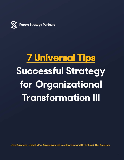

# **7 Universal Tips Successful Strategy for Organizational Transformation III**

**Chez Cristiano, Global VP of Organizational Development and HR, EMEA & The Americas**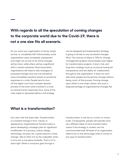## **With regards to all the speculation of coming changes to the corporate world due to the Covid-19, there is not a one size fits all scenario.**

Do you want your organization to thrive, simply survive, or completely fail? Unfortunately, some organizations were completely unprepared and might not survive at all. Some changes will be minor while others will be a significant shift in certain industries. More importantly, organizations will need to fully strategize on proposed changes that are truly beneficial verse immediate reactions based on emotional responses to a crisis. People tend to shutoff the higher and more complex decision process of the brain when involved in a crisis (a natural human response); thus, some of the crisis needs to decrease before a full strategy

can be designed and implemented. Strategy is going to be key to any successful changes. Why? The chance of failure is 70% for change management projects and probably even higher for transformation projects. A short, mid, and long-term strategy is just as crucial as having full transparency and the ability for collaboration throughout the organization. It does not work well when people are forced into change without being a part of the process. Forcing change upon others is one major reason why such a large percentage of organizational changes fail.

#### **What is a transformation?**

Let's start with the basic idea. Transformation is a marked change in form, nature, or appearance. Organizational Transformation is about developing a strategic plan for significant modification of a process, culture, design, technology, services, etc. It goes beyond a mere change. I like to think of it as the caterpillar when it turns into a marvelous butterfly. That is, if it is done right. When a company goes through a

transformation, it can be on a micro or macro scale. Consequently, people will typically have very different ideas of what transformation means if the strategy is unclear and not communicated well. All levels of an organization need to be on the same page when it comes to any type of transformation.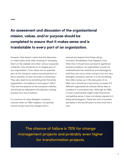## **An assessment and discussion of the organizational mission, values, and/or purpose should be completed to ensure that it makes sense and is translatable to every part of an organization.**

However, that doesn't mean that the discussion on these topics ends after creating or changing them on the website and other various corporate materials. They should be an in integral part of any organization. Core values are an essential part of the company culture and should be 6 or less in quantity, so they are easy to remember. They also need to be something that the entire organization can believe in and support. Why? They are the essence of the company's identity and should be reflected in the decision-making process from top to bottom.

It is common to have divergent company cultures when an M&A happens. Companies cannot simply hand the merged staff a

manual and expect that things will go smoothly. Nonetheless, that happens more often than it should and can lead to significant business problems. An organization should not underestimate the resistance and sabotage by staff that can occur when trying to mix two very divergent company cultures. It is not something that often comes up in the discussion of an M&A, but it should be a top priority to assess if 2 different organizational cultures will be able to combine in a successful way. Although an M&A or even a partnership might make financial & competitive sense, it does not always equate to it being advantageous. There are a lot of business examples in the last 50 years to show that this is true.

**The chance of failure is 70% for change management projects and probably even higher for transformation projects.**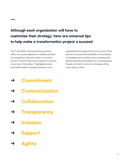## **Although each organization will have to customize their strategy, here are universal tips to help make a transformation project a success!**

The 7 tips below are not exclusive of each other, so success depends on utilizing all areas in coordination with each other. It is human nature to want to feel some measure of control in our lives. If the below 7 highlighted areas are implemented, it will give everyone in an

organization the opportunity to be a part of the process and avoid the possibility of one feeling a complete loss of control; thus, avoiding wide spread resistance and failure as a consequence. People who feel in control of changes will be more open to them.

- **→ Commitment**
- **→ Communication**
- **→ Collaboration**
- **→ Transparency**
- **→ Inclusion**
- **→ Support**
- **→ Agility**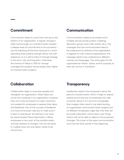#### **Commitment**

Commitment needs to come from the top to the bottom of an organization. A regular change is often hard enough, so a transformation requires a deeper level of commitment to be successful. I say the following all the time, because it is worth repeating. Even positive change will be met with resistance, so it is vital to think of change strategy in the short, mid, and long term. Otherwise, the chance of failure is 70% for change management projects and probably even higher for transformation projects.

#### **Communication**

Communication needs to be simple and in multiple venues (email, posters, meetings, discussion groups, town halls, events, etc.). The messages that are communicated need to be understood at all levels of the organization. In regards to multi-national organizations, the message needs to be understood in different cultures and languages. The same goes for the organizational mission, values, and/or purpose, so they are not lost in translation.

#### **Collaboration**

Collaboration helps to empower people and strengthen an organization. Great ideas can come from anybody in an organization. However, they won't ever be heard if an open channel is not created for employees to express their ideas and feedback. Part of the success of feedback is to have some basic rules but to make sure it is open to everybody. Sometimes it can even be reward based. More importantly, it allows employees to be a part of the transformation and less resistant to changes. This can be done in multiple ways, but one option needs to be anonymous.

#### **Transparency**

Leadership needs to be transparent about the plans for transformation. Why? It helps to reduce resistance and the loss of employees who feel uncertain about it. It is common knowledge that mergers often result in top talent leaving an organization and transformation projects are no different. Employees might fear that they will be made redundant, cannot learn new things and/or will not be able to adjust to the proposed changes. This is part of the open communication and must be done quickly in the beginning.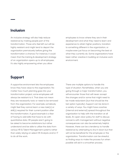#### **Inclusion**

An inclusive strategy will also help reduce resistance by making people part of the transformation. Those who feel left out will be highly resistant and might tend to depart the organization prematurely before giving the transformation a chance. For instance, it could mean that the training & development strategy of an organization opens up to all employees. It's also highly empowering when you allow

employees to know where they are in their development and what they need to learn and experience to attain higher positions, transition to something different in the organization, or maybe even just focus on becoming the best at what they currently do. Some organizations have been rather creative in building an inclusive work environment.

#### **Support**

A supportive environment lets the employees know they have value to the organization. No matter how much planning goes into your transformation project, some employees will always be resistant to it. That does not mean they are necessarily toxic or need to be removed from the organization. For example, somebody might feel they cannot learn a new task(s) or skill(s) required for their current position after the transformation. A good example is a fear of having to add skills that have to do with quantitative data. HR people aren't going to be asked to become statisticians but rather understand and be able to utilize the data from various HR & Talent Management systems rather than solely relying on select HR Analysts and/or IT to do all the work.

There are multiple options to handle this type of situation. Nonetheless, when you are going through a major transformation, you will encounter those that will never accept the changes and/or some that might need to be made redundant (but that should be the last option typically). Support can be done in a variety of ways. You might have coaches (internal and external) spread throughout the organization to help with the transition at all levels. An open-door policy for staff to discuss concerns with management without negative consequences can also be extremely helpful. However, there can be a tendency to handle resistance by attempting to shut it down but that will not be beneficial for the employee or the organization. Transformation can be stressful, so finding ways to make the process fun when possible will aid in a smoother process.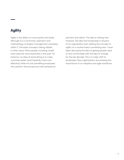### **Agility**

Agility is the ability to move quickly and easily. Although it is a commonly used term and methodology of project management nowadays within IT, the basic concept is being utilized in other areas. Many people, including myself, have used the word streamline in the past. For instance, my idea of streamlining is to make a process easier (and hopefully more cost effective) while not only benefiting employees who perform the process but internal/external

partners and clients. The idea is nothing new. However, the idea that employees in all parts of an organization start utilizing the concept of agility on a routine basis is something new. I have been discussing the idea of getting people used to and comfortable with the idea of change for the last decade. This is a major shift for employees. Now organizations are stressing the importance of an adaptive and agile workforce.